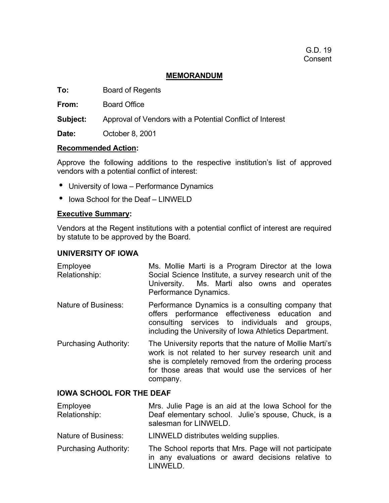## **MEMORANDUM**

**To:** Board of Regents

**From:** Board Office

**Subject:** Approval of Vendors with a Potential Conflict of Interest

**Date:** October 8, 2001

#### **Recommended Action:**

Approve the following additions to the respective institution's list of approved vendors with a potential conflict of interest:

- University of Iowa Performance Dynamics
- Iowa School for the Deaf LINWELD

### **Executive Summary:**

Vendors at the Regent institutions with a potential conflict of interest are required by statute to be approved by the Board.

#### **UNIVERSITY OF IOWA**

- Employee Relationship: Ms. Mollie Marti is a Program Director at the Iowa Social Science Institute, a survey research unit of the University. Ms. Marti also owns and operates Performance Dynamics. Nature of Business: Performance Dynamics is a consulting company that
- offers performance effectiveness education and consulting services to individuals and groups, including the University of Iowa Athletics Department.
- Purchasing Authority: The University reports that the nature of Mollie Marti's work is not related to her survey research unit and she is completely removed from the ordering process for those areas that would use the services of her company.

#### **IOWA SCHOOL FOR THE DEAF**

Employee Relationship: Mrs. Julie Page is an aid at the Iowa School for the Deaf elementary school. Julie's spouse, Chuck, is a salesman for LINWELD.

Nature of Business: LINWELD distributes welding supplies.

Purchasing Authority: The School reports that Mrs. Page will not participate in any evaluations or award decisions relative to LINWELD.